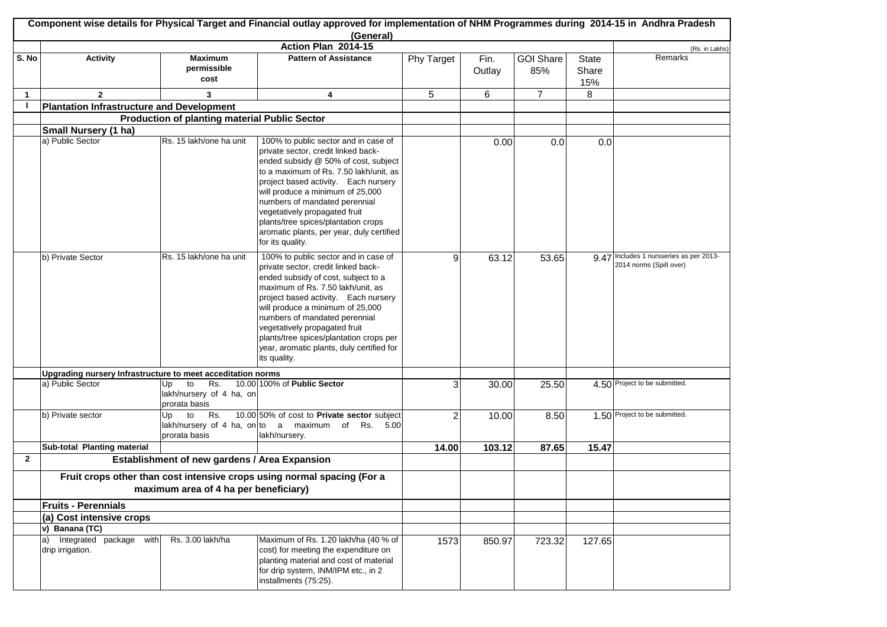|                |                                                                                                                  |                                                              | Component wise details for Physical Target and Financial outlay approved for implementation of NHM Programmes during 2014-15 in Andhra Pradesh<br>(General)                                                                                                                                                                                                                                                         |                |                |                         |                              |                                                                    |
|----------------|------------------------------------------------------------------------------------------------------------------|--------------------------------------------------------------|---------------------------------------------------------------------------------------------------------------------------------------------------------------------------------------------------------------------------------------------------------------------------------------------------------------------------------------------------------------------------------------------------------------------|----------------|----------------|-------------------------|------------------------------|--------------------------------------------------------------------|
|                |                                                                                                                  |                                                              | Action Plan 2014-15                                                                                                                                                                                                                                                                                                                                                                                                 |                |                |                         |                              | (Rs. in Lakhs)                                                     |
| S. No          | <b>Activity</b>                                                                                                  | <b>Maximum</b><br>permissible<br>cost                        | <b>Pattern of Assistance</b>                                                                                                                                                                                                                                                                                                                                                                                        | Phy Target     | Fin.<br>Outlay | <b>GOI Share</b><br>85% | <b>State</b><br>Share<br>15% | Remarks                                                            |
| $\mathbf{1}$   | $\mathbf{2}$                                                                                                     | 3                                                            | 4                                                                                                                                                                                                                                                                                                                                                                                                                   | 5              | 6              | $\overline{7}$          | 8                            |                                                                    |
| $\blacksquare$ | <b>Plantation Infrastructure and Development</b>                                                                 |                                                              |                                                                                                                                                                                                                                                                                                                                                                                                                     |                |                |                         |                              |                                                                    |
|                |                                                                                                                  | <b>Production of planting material Public Sector</b>         |                                                                                                                                                                                                                                                                                                                                                                                                                     |                |                |                         |                              |                                                                    |
|                | Small Nursery (1 ha)                                                                                             |                                                              |                                                                                                                                                                                                                                                                                                                                                                                                                     |                |                |                         |                              |                                                                    |
|                | a) Public Sector                                                                                                 | Rs. 15 lakh/one ha unit                                      | 100% to public sector and in case of<br>private sector, credit linked back-<br>ended subsidy @ 50% of cost, subject<br>to a maximum of Rs. 7.50 lakh/unit, as<br>project based activity. Each nursery<br>will produce a minimum of 25,000<br>numbers of mandated perennial<br>vegetatively propagated fruit<br>plants/tree spices/plantation crops<br>aromatic plants, per year, duly certified<br>for its quality. |                | 0.00           | 0.0                     | 0.0                          |                                                                    |
|                | b) Private Sector                                                                                                | Rs. 15 lakh/one ha unit                                      | 100% to public sector and in case of<br>private sector, credit linked back-<br>ended subsidy of cost, subject to a<br>maximum of Rs. 7.50 lakh/unit, as<br>project based activity. Each nursery<br>will produce a minimum of 25,000<br>numbers of mandated perennial<br>vegetatively propagated fruit<br>plants/tree spices/plantation crops per<br>year, aromatic plants, duly certified for<br>its quality.       | $\overline{9}$ | 63.12          | 53.65                   |                              | 9.47 Includes 1 nursseries as per 2013-<br>2014 norms (Spill over) |
|                | Upgrading nursery Infrastructure to meet acceditation norms                                                      |                                                              |                                                                                                                                                                                                                                                                                                                                                                                                                     |                |                |                         |                              |                                                                    |
|                | a) Public Sector                                                                                                 | to<br>Rs.<br>Up<br>lakh/nursery of 4 ha, on<br>prorata basis | 10.00 100% of Public Sector                                                                                                                                                                                                                                                                                                                                                                                         | 3              | 30.00          | 25.50                   |                              | 4.50 Project to be submitted.                                      |
|                | b) Private sector                                                                                                | to<br>Rs.<br>Up<br>prorata basis                             | 10.00 50% of cost to Private sector subject<br>lakh/nursery of 4 ha, on to a maximum of Rs. 5.00<br>lakh/nursery.                                                                                                                                                                                                                                                                                                   | 2              | 10.00          | 8.50                    |                              | 1.50 Project to be submitted.                                      |
|                | Sub-total Planting material                                                                                      |                                                              |                                                                                                                                                                                                                                                                                                                                                                                                                     | 14.00          | 103.12         | 87.65                   | 15.47                        |                                                                    |
| $\mathbf{2}$   |                                                                                                                  | Establishment of new gardens / Area Expansion                |                                                                                                                                                                                                                                                                                                                                                                                                                     |                |                |                         |                              |                                                                    |
|                | Fruit crops other than cost intensive crops using normal spacing (For a<br>maximum area of 4 ha per beneficiary) |                                                              |                                                                                                                                                                                                                                                                                                                                                                                                                     |                |                |                         |                              |                                                                    |
|                | <b>Fruits - Perennials</b>                                                                                       |                                                              |                                                                                                                                                                                                                                                                                                                                                                                                                     |                |                |                         |                              |                                                                    |
|                | (a) Cost intensive crops                                                                                         |                                                              |                                                                                                                                                                                                                                                                                                                                                                                                                     |                |                |                         |                              |                                                                    |
|                | v) Banana (TC)                                                                                                   |                                                              |                                                                                                                                                                                                                                                                                                                                                                                                                     |                |                |                         |                              |                                                                    |
|                | a) Integrated package with<br>drip irrigation.                                                                   | Rs. 3.00 lakh/ha                                             | Maximum of Rs. 1.20 lakh/ha (40 % of<br>cost) for meeting the expenditure on<br>planting material and cost of material<br>for drip system, INM/IPM etc., in 2<br>installments (75:25).                                                                                                                                                                                                                              | 1573           | 850.97         | 723.32                  | 127.65                       |                                                                    |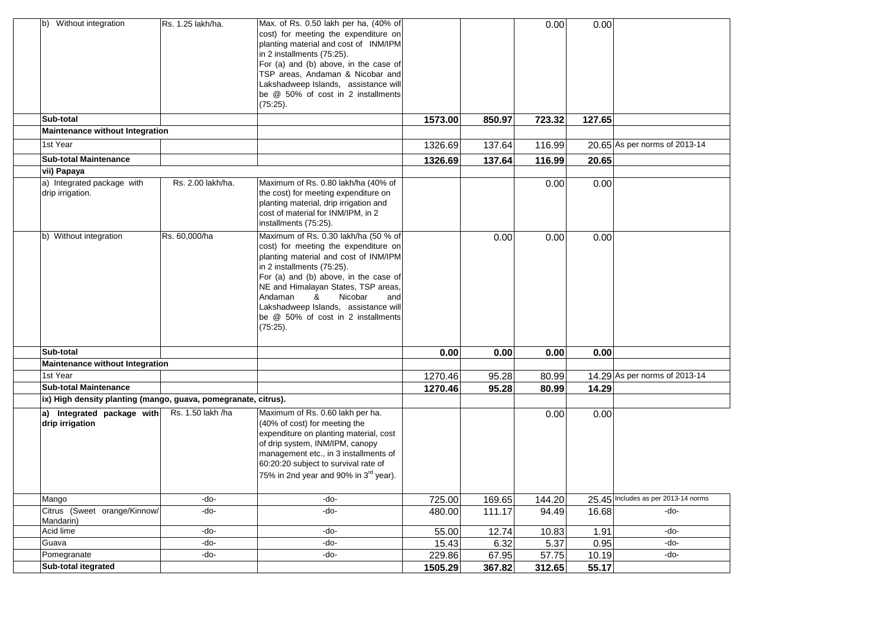| Without integration<br>lb)                                     | Rs. 1.25 lakh/ha. | Max. of Rs. 0.50 lakh per ha, (40% of<br>cost) for meeting the expenditure on<br>planting material and cost of INM/IPM<br>in 2 installments (75:25).<br>For (a) and (b) above, in the case of<br>TSP areas, Andaman & Nicobar and<br>Lakshadweep Islands, assistance will<br>be @ 50% of cost in 2 installments<br>$(75:25)$ .                                     |         |        | 0.00   | 0.00   |                                     |
|----------------------------------------------------------------|-------------------|--------------------------------------------------------------------------------------------------------------------------------------------------------------------------------------------------------------------------------------------------------------------------------------------------------------------------------------------------------------------|---------|--------|--------|--------|-------------------------------------|
| Sub-total                                                      |                   |                                                                                                                                                                                                                                                                                                                                                                    | 1573.00 | 850.97 | 723.32 | 127.65 |                                     |
| <b>Maintenance without Integration</b>                         |                   |                                                                                                                                                                                                                                                                                                                                                                    |         |        |        |        |                                     |
| 1st Year                                                       |                   |                                                                                                                                                                                                                                                                                                                                                                    | 1326.69 | 137.64 | 116.99 |        | 20.65 As per norms of 2013-14       |
| <b>Sub-total Maintenance</b>                                   |                   |                                                                                                                                                                                                                                                                                                                                                                    |         |        | 116.99 |        |                                     |
| vii) Papaya                                                    |                   |                                                                                                                                                                                                                                                                                                                                                                    | 1326.69 | 137.64 |        | 20.65  |                                     |
| a) Integrated package with<br>drip irrigation.                 | Rs. 2.00 lakh/ha. | Maximum of Rs. 0.80 lakh/ha (40% of<br>the cost) for meeting expenditure on<br>planting material, drip irrigation and<br>cost of material for INM/IPM, in 2<br>installments (75:25).                                                                                                                                                                               |         |        | 0.00   | 0.00   |                                     |
| b) Without integration                                         | Rs. 60,000/ha     | Maximum of Rs. 0.30 lakh/ha (50 % of<br>cost) for meeting the expenditure on<br>planting material and cost of INM/IPM<br>in 2 installments (75:25).<br>For (a) and (b) above, in the case of<br>NE and Himalayan States, TSP areas,<br>Nicobar<br>Andaman<br>&<br>and<br>Lakshadweep Islands, assistance will<br>be @ 50% of cost in 2 installments<br>$(75:25)$ . |         | 0.00   | 0.00   | 0.00   |                                     |
| Sub-total                                                      |                   |                                                                                                                                                                                                                                                                                                                                                                    | 0.00    | 0.00   | 0.00   | 0.00   |                                     |
| <b>Maintenance without Integration</b>                         |                   |                                                                                                                                                                                                                                                                                                                                                                    |         |        |        |        |                                     |
| 1st Year                                                       |                   |                                                                                                                                                                                                                                                                                                                                                                    | 1270.46 | 95.28  | 80.99  |        | 14.29 As per norms of 2013-14       |
| <b>Sub-total Maintenance</b>                                   |                   |                                                                                                                                                                                                                                                                                                                                                                    | 1270.46 | 95.28  | 80.99  | 14.29  |                                     |
| ix) High density planting (mango, guava, pomegranate, citrus). |                   |                                                                                                                                                                                                                                                                                                                                                                    |         |        |        |        |                                     |
| a) Integrated package with<br>drip irrigation                  | Rs. 1.50 lakh /ha | Maximum of Rs. 0.60 lakh per ha.<br>(40% of cost) for meeting the<br>expenditure on planting material, cost<br>of drip system, INM/IPM, canopy<br>management etc., in 3 installments of<br>60:20:20 subject to survival rate of<br>75% in 2nd year and 90% in 3rd year).                                                                                           |         |        | 0.00   | 0.00   |                                     |
| Mango                                                          | -do-              | -do-                                                                                                                                                                                                                                                                                                                                                               | 725.00  | 169.65 | 144.20 |        | 25.45 Includes as per 2013-14 norms |
| Citrus (Sweet orange/Kinnow/<br>Mandarin)                      | -do-              | -do-                                                                                                                                                                                                                                                                                                                                                               | 480.00  | 111.17 | 94.49  | 16.68  | -do-                                |
| Acid lime                                                      | -do-              | -do-                                                                                                                                                                                                                                                                                                                                                               | 55.00   | 12.74  | 10.83  | 1.91   | -do-                                |
| Guava                                                          | -do-              | -do-                                                                                                                                                                                                                                                                                                                                                               | 15.43   | 6.32   | 5.37   | 0.95   | -do-                                |
| Pomegranate                                                    | -do-              | -do-                                                                                                                                                                                                                                                                                                                                                               | 229.86  | 67.95  | 57.75  | 10.19  | -do-                                |
| Sub-total itegrated                                            |                   |                                                                                                                                                                                                                                                                                                                                                                    | 1505.29 | 367.82 | 312.65 | 55.17  |                                     |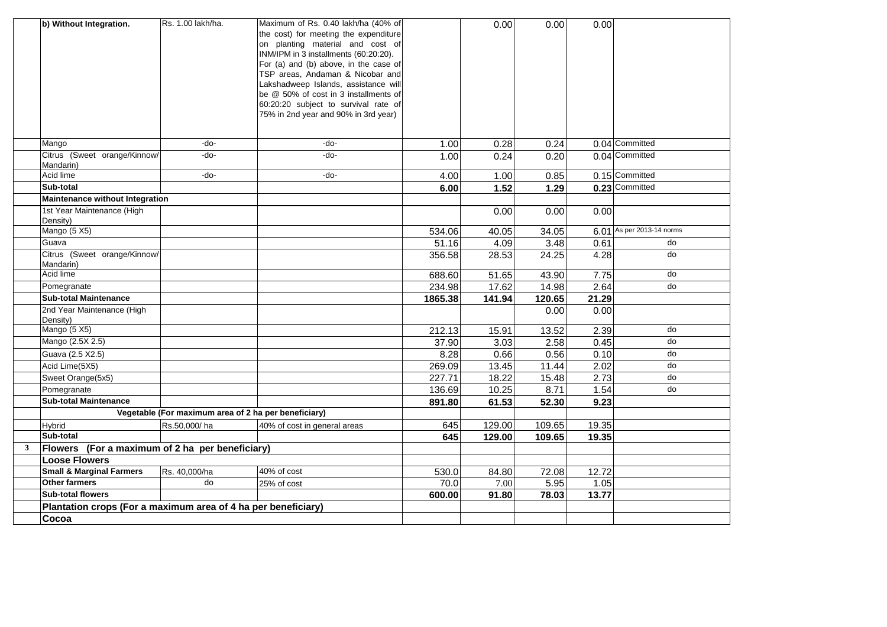|              | b) Without Integration.                                       | Rs. 1.00 lakh/ha.                                    | Maximum of Rs. 0.40 lakh/ha (40% of   |         | 0.00           | 0.00          | 0.00  |                      |
|--------------|---------------------------------------------------------------|------------------------------------------------------|---------------------------------------|---------|----------------|---------------|-------|----------------------|
|              |                                                               |                                                      | the cost) for meeting the expenditure |         |                |               |       |                      |
|              |                                                               |                                                      | on planting material and cost of      |         |                |               |       |                      |
|              |                                                               |                                                      | INM/IPM in 3 installments (60:20:20). |         |                |               |       |                      |
|              |                                                               |                                                      | For (a) and (b) above, in the case of |         |                |               |       |                      |
|              |                                                               |                                                      | TSP areas, Andaman & Nicobar and      |         |                |               |       |                      |
|              |                                                               |                                                      | Lakshadweep Islands, assistance will  |         |                |               |       |                      |
|              |                                                               |                                                      | be @ 50% of cost in 3 installments of |         |                |               |       |                      |
|              |                                                               |                                                      | 60:20:20 subject to survival rate of  |         |                |               |       |                      |
|              |                                                               |                                                      | 75% in 2nd year and 90% in 3rd year)  |         |                |               |       |                      |
|              |                                                               |                                                      |                                       |         |                |               |       |                      |
|              |                                                               |                                                      |                                       |         |                |               |       |                      |
|              | Mango                                                         | -do-                                                 | -do-                                  | 1.00    | 0.28           | 0.24          |       | 0.04 Committed       |
|              | Citrus (Sweet orange/Kinnow/<br>Mandarin)                     | -do-                                                 | -do-                                  | 1.00    | 0.24           | 0.20          |       | 0.04 Committed       |
|              | Acid lime                                                     | -do-                                                 | -do-                                  | 4.00    | 1.00           | 0.85          |       | 0.15 Committed       |
|              | Sub-total                                                     |                                                      |                                       | 6.00    | 1.52           | 1.29          |       | 0.23 Committed       |
|              | Maintenance without Integration                               |                                                      |                                       |         |                |               |       |                      |
|              | 1st Year Maintenance (High                                    |                                                      |                                       |         | 0.00           | 0.00          | 0.00  |                      |
|              | Density)                                                      |                                                      |                                       |         |                |               |       |                      |
|              | Mango (5 X5)                                                  |                                                      |                                       | 534.06  | 40.05          | 34.05         | 6.01  | As per 2013-14 norms |
|              | Guava                                                         |                                                      |                                       | 51.16   | 4.09           | 3.48          | 0.61  | do                   |
|              | Citrus (Sweet orange/Kinnow/                                  |                                                      |                                       | 356.58  | 28.53          | 24.25         | 4.28  | do                   |
|              | Mandarin)<br>Acid lime                                        |                                                      |                                       |         |                |               |       | do                   |
|              |                                                               |                                                      |                                       | 688.60  | 51.65          | 43.90         | 7.75  | do                   |
|              | Pomegranate                                                   |                                                      |                                       | 234.98  | 17.62          | 14.98         | 2.64  |                      |
|              | <b>Sub-total Maintenance</b>                                  |                                                      |                                       | 1865.38 | 141.94         | 120.65        | 21.29 |                      |
|              | 2nd Year Maintenance (High<br>Density)                        |                                                      |                                       |         |                | 0.00          | 0.00  |                      |
|              | Mango (5 X5)                                                  |                                                      |                                       | 212.13  | 15.91          | 13.52         | 2.39  | do                   |
|              | Mango (2.5X 2.5)                                              |                                                      |                                       | 37.90   | 3.03           | 2.58          | 0.45  | do                   |
|              | Guava (2.5 X2.5)                                              |                                                      |                                       | 8.28    | 0.66           | 0.56          | 0.10  | do                   |
|              | Acid Lime(5X5)                                                |                                                      |                                       | 269.09  | 13.45          |               | 2.02  | do                   |
|              |                                                               |                                                      |                                       |         |                | 11.44         | 2.73  | do                   |
|              | Sweet Orange(5x5)                                             |                                                      |                                       | 227.71  | 18.22<br>10.25 | 15.48<br>8.71 | 1.54  | do                   |
|              | Pomegranate<br><b>Sub-total Maintenance</b>                   |                                                      |                                       | 136.69  | 61.53          | 52.30         | 9.23  |                      |
|              |                                                               | Vegetable (For maximum area of 2 ha per beneficiary) |                                       | 891.80  |                |               |       |                      |
|              |                                                               | Rs.50,000/ha                                         | 40% of cost in general areas          | 645     | 129.00         | 109.65        | 19.35 |                      |
|              | Hybrid<br>Sub-total                                           |                                                      |                                       | 645     | 129.00         | 109.65        | 19.35 |                      |
| $\mathbf{3}$ | Flowers (For a maximum of 2 ha per beneficiary)               |                                                      |                                       |         |                |               |       |                      |
|              | <b>Loose Flowers</b>                                          |                                                      |                                       |         |                |               |       |                      |
|              | <b>Small &amp; Marginal Farmers</b>                           | Rs. 40,000/ha                                        | 40% of cost                           | 530.0   | 84.80          | 72.08         | 12.72 |                      |
|              | <b>Other farmers</b>                                          | do                                                   | 25% of cost                           | 70.0    | 7.00           | 5.95          | 1.05  |                      |
|              | <b>Sub-total flowers</b>                                      |                                                      |                                       | 600.00  | 91.80          | 78.03         | 13.77 |                      |
|              | Plantation crops (For a maximum area of 4 ha per beneficiary) |                                                      |                                       |         |                |               |       |                      |
|              | Cocoa                                                         |                                                      |                                       |         |                |               |       |                      |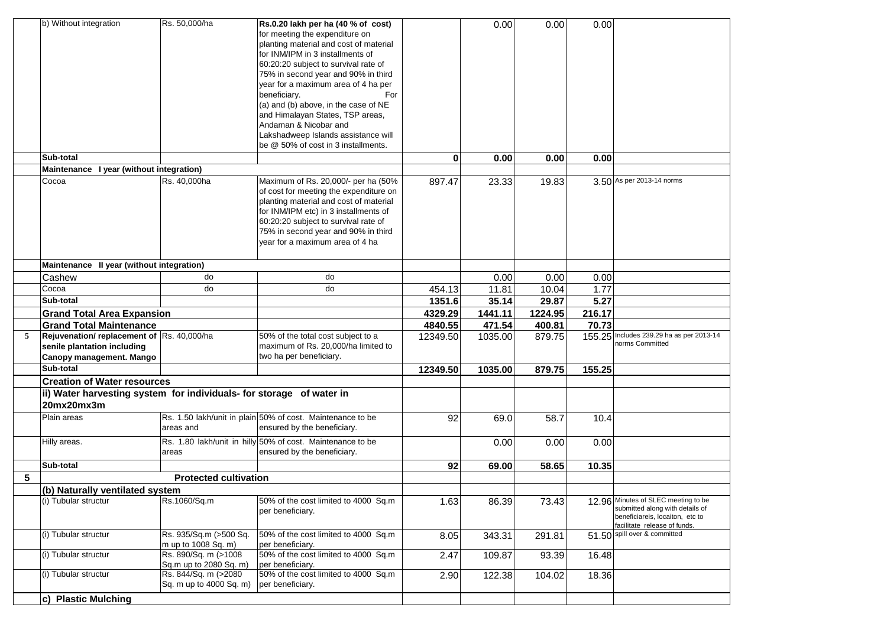|   | b) Without integration                                                                               | Rs. 50,000/ha                                   | Rs.0.20 lakh per ha (40 % of cost)<br>for meeting the expenditure on<br>planting material and cost of material<br>for INM/IPM in 3 installments of<br>60:20:20 subject to survival rate of<br>75% in second year and 90% in third<br>year for a maximum area of 4 ha per<br>beneficiary.<br>For<br>(a) and (b) above, in the case of NE<br>and Himalayan States, TSP areas,<br>Andaman & Nicobar and<br>Lakshadweep Islands assistance will<br>be @ 50% of cost in 3 installments. |          | 0.00    | 0.00    | 0.00   |                                                                                                                                     |
|---|------------------------------------------------------------------------------------------------------|-------------------------------------------------|------------------------------------------------------------------------------------------------------------------------------------------------------------------------------------------------------------------------------------------------------------------------------------------------------------------------------------------------------------------------------------------------------------------------------------------------------------------------------------|----------|---------|---------|--------|-------------------------------------------------------------------------------------------------------------------------------------|
|   | Sub-total                                                                                            |                                                 |                                                                                                                                                                                                                                                                                                                                                                                                                                                                                    | 0        | 0.00    | 0.00    | 0.00   |                                                                                                                                     |
|   | Maintenance I year (without integration)                                                             |                                                 |                                                                                                                                                                                                                                                                                                                                                                                                                                                                                    |          |         |         |        | 3.50 As per 2013-14 norms                                                                                                           |
|   | Cocoa                                                                                                | Rs. 40,000ha                                    | Maximum of Rs. 20,000/- per ha (50%<br>of cost for meeting the expenditure on<br>planting material and cost of material<br>for INM/IPM etc) in 3 installments of<br>60:20:20 subject to survival rate of<br>75% in second year and 90% in third<br>year for a maximum area of 4 ha                                                                                                                                                                                                 | 897.47   | 23.33   | 19.83   |        |                                                                                                                                     |
|   | Maintenance II year (without integration)                                                            |                                                 |                                                                                                                                                                                                                                                                                                                                                                                                                                                                                    |          |         |         |        |                                                                                                                                     |
|   | Cashew                                                                                               | do                                              | do                                                                                                                                                                                                                                                                                                                                                                                                                                                                                 |          | 0.00    | 0.00    | 0.00   |                                                                                                                                     |
|   | Cocoa                                                                                                | do                                              | do                                                                                                                                                                                                                                                                                                                                                                                                                                                                                 | 454.13   | 11.81   | 10.04   | 1.77   |                                                                                                                                     |
|   | Sub-total                                                                                            |                                                 |                                                                                                                                                                                                                                                                                                                                                                                                                                                                                    | 1351.6   | 35.14   | 29.87   | 5.27   |                                                                                                                                     |
|   | <b>Grand Total Area Expansion</b>                                                                    |                                                 |                                                                                                                                                                                                                                                                                                                                                                                                                                                                                    | 4329.29  | 1441.11 | 1224.95 | 216.17 |                                                                                                                                     |
|   | <b>Grand Total Maintenance</b>                                                                       |                                                 |                                                                                                                                                                                                                                                                                                                                                                                                                                                                                    | 4840.55  | 471.54  | 400.81  | 70.73  |                                                                                                                                     |
| 5 | Rejuvenation/replacement of Rs. 40,000/ha<br>senile plantation including<br>Canopy management. Mango |                                                 | 50% of the total cost subject to a<br>maximum of Rs. 20,000/ha limited to<br>two ha per beneficiary.                                                                                                                                                                                                                                                                                                                                                                               | 12349.50 | 1035.00 | 879.75  |        | 155.25 Includes 239.29 ha as per 2013-14<br>norms Committed                                                                         |
|   | Sub-total                                                                                            |                                                 |                                                                                                                                                                                                                                                                                                                                                                                                                                                                                    | 12349.50 | 1035.00 | 879.75  | 155.25 |                                                                                                                                     |
|   | <b>Creation of Water resources</b>                                                                   |                                                 |                                                                                                                                                                                                                                                                                                                                                                                                                                                                                    |          |         |         |        |                                                                                                                                     |
|   | ii) Water harvesting system for individuals- for storage of water in                                 |                                                 |                                                                                                                                                                                                                                                                                                                                                                                                                                                                                    |          |         |         |        |                                                                                                                                     |
|   | 20mx20mx3m                                                                                           |                                                 |                                                                                                                                                                                                                                                                                                                                                                                                                                                                                    |          |         |         |        |                                                                                                                                     |
|   | Plain areas                                                                                          | areas and                                       | Rs. 1.50 lakh/unit in plain 50% of cost. Maintenance to be<br>ensured by the beneficiary.                                                                                                                                                                                                                                                                                                                                                                                          | 92       | 69.0    | 58.7    | 10.4   |                                                                                                                                     |
|   | Hilly areas.                                                                                         | areas                                           | Rs. 1.80 lakh/unit in hilly 50% of cost. Maintenance to be<br>ensured by the beneficiary.                                                                                                                                                                                                                                                                                                                                                                                          |          | 0.00    | 0.00    | 0.00   |                                                                                                                                     |
|   | Sub-total                                                                                            |                                                 |                                                                                                                                                                                                                                                                                                                                                                                                                                                                                    | 92       | 69.00   | 58.65   | 10.35  |                                                                                                                                     |
| 5 |                                                                                                      | <b>Protected cultivation</b>                    |                                                                                                                                                                                                                                                                                                                                                                                                                                                                                    |          |         |         |        |                                                                                                                                     |
|   | (b) Naturally ventilated system                                                                      |                                                 |                                                                                                                                                                                                                                                                                                                                                                                                                                                                                    |          |         |         |        |                                                                                                                                     |
|   | (i) Tubular structur                                                                                 | Rs.1060/Sq.m                                    | 50% of the cost limited to 4000 Sq.m<br>per beneficiary.                                                                                                                                                                                                                                                                                                                                                                                                                           | 1.63     | 86.39   | 73.43   | 12.96  | Minutes of SLEC meeting to be<br>submitted along with details of<br>beneficiareis, locaiton, etc to<br>facilitate release of funds. |
|   | (i) Tubular structur                                                                                 | Rs. 935/Sq.m (>500 Sq.<br>m up to 1008 Sq. m)   | 50% of the cost limited to 4000 Sq.m<br>per beneficiary.                                                                                                                                                                                                                                                                                                                                                                                                                           | 8.05     | 343.31  | 291.81  |        | 51.50 spill over & committed                                                                                                        |
|   |                                                                                                      | Rs. 890/Sq. m (>1008                            | 50% of the cost limited to 4000 Sq.m                                                                                                                                                                                                                                                                                                                                                                                                                                               | 2.47     | 109.87  | 93.39   | 16.48  |                                                                                                                                     |
|   | (i) Tubular structur                                                                                 | Sq.m up to 2080 Sq. m)                          | per beneficiary.                                                                                                                                                                                                                                                                                                                                                                                                                                                                   |          |         |         |        |                                                                                                                                     |
|   | (i) Tubular structur                                                                                 | Rs. 844/Sq. m (>2080<br>Sq. m up to 4000 Sq. m) | 50% of the cost limited to 4000 Sq.m<br>per beneficiary.                                                                                                                                                                                                                                                                                                                                                                                                                           | 2.90     | 122.38  | 104.02  | 18.36  |                                                                                                                                     |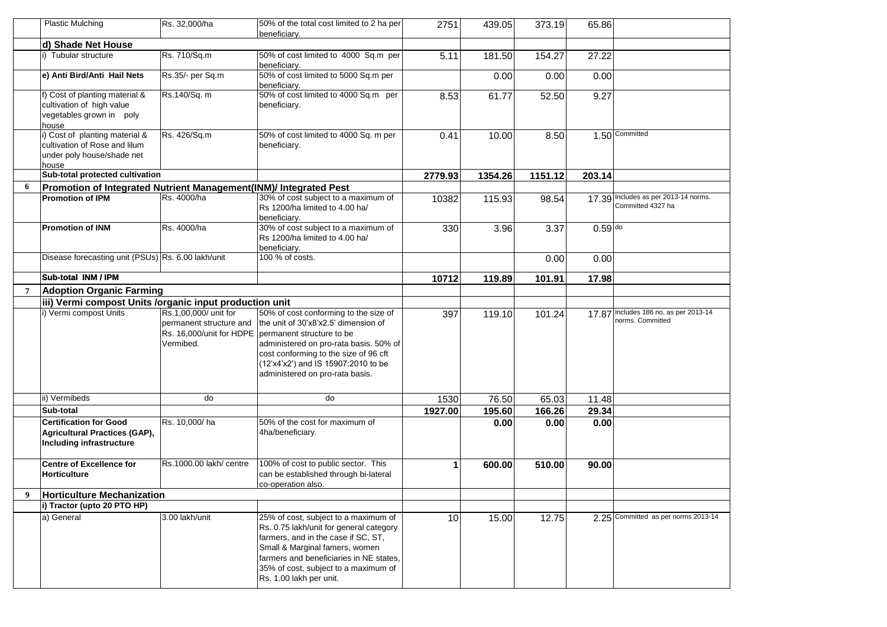|                | <b>Plastic Mulching</b>                                                                                | Rs. 32,000/ha                                                                             | 50% of the total cost limited to 2 ha per<br>beneficiary.                                                                                                                                                                                                               | 2751    | 439.05  | 373.19  | 65.86     |                                                           |
|----------------|--------------------------------------------------------------------------------------------------------|-------------------------------------------------------------------------------------------|-------------------------------------------------------------------------------------------------------------------------------------------------------------------------------------------------------------------------------------------------------------------------|---------|---------|---------|-----------|-----------------------------------------------------------|
|                | d) Shade Net House                                                                                     |                                                                                           |                                                                                                                                                                                                                                                                         |         |         |         |           |                                                           |
|                | i) Tubular structure                                                                                   | Rs. 710/Sq.m                                                                              | 50% of cost limited to 4000 Sq.m per<br>beneficiary.                                                                                                                                                                                                                    | 5.11    | 181.50  | 154.27  | 27.22     |                                                           |
|                | e) Anti Bird/Anti Hail Nets                                                                            | Rs.35/- per Sq.m                                                                          | 50% of cost limited to 5000 Sq.m per<br>beneficiary.                                                                                                                                                                                                                    |         | 0.00    | 0.00    | 0.00      |                                                           |
|                | f) Cost of planting material &<br>cultivation of high value<br>vegetables grown in poly<br>house       | Rs.140/Sq. m                                                                              | 50% of cost limited to 4000 Sq.m per<br>beneficiary.                                                                                                                                                                                                                    | 8.53    | 61.77   | 52.50   | 9.27      |                                                           |
|                | i) Cost of planting material &<br>cultivation of Rose and lilum<br>under poly house/shade net<br>house | Rs. 426/Sq.m                                                                              | 50% of cost limited to 4000 Sq. m per<br>beneficiary.                                                                                                                                                                                                                   | 0.41    | 10.00   | 8.50    |           | 1.50 Committed                                            |
|                | Sub-total protected cultivation                                                                        |                                                                                           |                                                                                                                                                                                                                                                                         | 2779.93 | 1354.26 | 1151.12 | 203.14    |                                                           |
| 6              | Promotion of Integrated Nutrient Management(INM)/ Integrated Pest                                      |                                                                                           |                                                                                                                                                                                                                                                                         |         |         |         |           |                                                           |
|                | <b>Promotion of IPM</b>                                                                                | Rs. 4000/ha                                                                               | 30% of cost subject to a maximum of<br>Rs 1200/ha limited to 4.00 ha/<br>beneficiary.                                                                                                                                                                                   | 10382   | 115.93  | 98.54   |           | 17.39 Includes as per 2013-14 norms.<br>Committed 4327 ha |
|                | <b>Promotion of INM</b>                                                                                | Rs. 4000/ha                                                                               | 30% of cost subject to a maximum of<br>Rs 1200/ha limited to 4.00 ha/<br>beneficiary.                                                                                                                                                                                   | 330     | 3.96    | 3.37    | $0.59$ do |                                                           |
|                | Disease forecasting unit (PSUs) Rs. 6.00 lakh/unit                                                     |                                                                                           | 100 % of costs.                                                                                                                                                                                                                                                         |         |         | 0.00    | 0.00      |                                                           |
|                | <b>Sub-total INM / IPM</b>                                                                             |                                                                                           |                                                                                                                                                                                                                                                                         | 10712   | 119.89  | 101.91  | 17.98     |                                                           |
| $\overline{7}$ | <b>Adoption Organic Farming</b>                                                                        |                                                                                           |                                                                                                                                                                                                                                                                         |         |         |         |           |                                                           |
|                | iii) Vermi compost Units /organic input production unit                                                |                                                                                           |                                                                                                                                                                                                                                                                         |         |         |         |           |                                                           |
|                | i) Vermi compost Units                                                                                 | Rs.1,00,000/ unit for<br>permanent structure and<br>Rs. 16,000/unit for HDPE<br>Vermibed. | 50% of cost conforming to the size of<br>the unit of 30'x8'x2.5' dimension of<br>permanent structure to be<br>administered on pro-rata basis. 50% of<br>cost conforming to the size of 96 cft<br>(12'x4'x2') and IS 15907:2010 to be<br>administered on pro-rata basis. | 397     | 119.10  | 101.24  |           | 17.87 Includes 186 no. as per 2013-14<br>norms. Committed |
|                | ii) Vermibeds                                                                                          | do                                                                                        | do                                                                                                                                                                                                                                                                      | 1530    | 76.50   | 65.03   | 11.48     |                                                           |
|                | Sub-total                                                                                              |                                                                                           |                                                                                                                                                                                                                                                                         | 1927.00 | 195.60  | 166.26  | 29.34     |                                                           |
|                | <b>Certification for Good</b><br>Agricultural Practices (GAP),<br>Including infrastructure             | Rs. 10,000/ha                                                                             | 50% of the cost for maximum of<br>4ha/beneficiary.                                                                                                                                                                                                                      |         | 0.00    | 0.00    | 0.00      |                                                           |
|                | Centre of Excellence for<br><b>Horticulture</b>                                                        | Rs.1000.00 lakh/ centre                                                                   | 100% of cost to public sector. This<br>can be established through bi-lateral<br>co-operation also.                                                                                                                                                                      | 1       | 600.00  | 510.00  | 90.00     |                                                           |
| 9              | <b>Horticulture Mechanization</b>                                                                      |                                                                                           |                                                                                                                                                                                                                                                                         |         |         |         |           |                                                           |
|                | i) Tractor (upto 20 PTO HP)                                                                            |                                                                                           |                                                                                                                                                                                                                                                                         |         |         |         |           |                                                           |
|                | a) General                                                                                             | 3.00 lakh/unit                                                                            | 25% of cost, subject to a maximum of<br>Rs. 0.75 lakh/unit for general category<br>farmers, and in the case if SC, ST,<br>Small & Marginal famers, women<br>farmers and beneficiaries in NE states,<br>35% of cost, subject to a maximum of<br>Rs. 1.00 lakh per unit.  | 10      | 15.00   | 12.75   |           | 2.25 Committed as per norms 2013-14                       |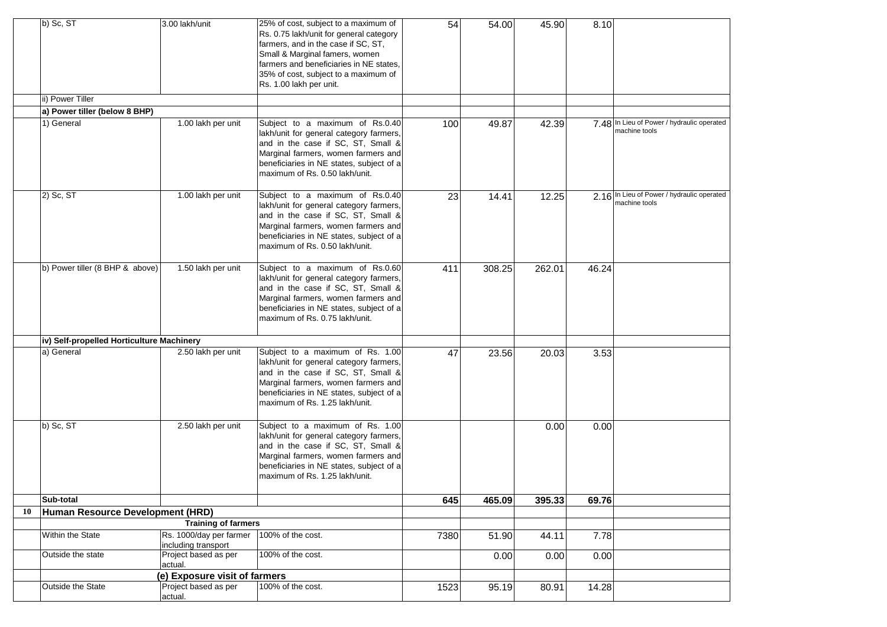|    | b) Sc, ST                                 | 3.00 lakh/unit                                 | 25% of cost, subject to a maximum of<br>Rs. 0.75 lakh/unit for general category<br>farmers, and in the case if SC, ST,<br>Small & Marginal famers, women<br>farmers and beneficiaries in NE states,<br>35% of cost, subject to a maximum of<br>Rs. 1.00 lakh per unit. | 54   | 54.00  | 45.90  | 8.10  |                                                             |
|----|-------------------------------------------|------------------------------------------------|------------------------------------------------------------------------------------------------------------------------------------------------------------------------------------------------------------------------------------------------------------------------|------|--------|--------|-------|-------------------------------------------------------------|
|    | ii) Power Tiller                          |                                                |                                                                                                                                                                                                                                                                        |      |        |        |       |                                                             |
|    | a) Power tiller (below 8 BHP)             |                                                |                                                                                                                                                                                                                                                                        |      |        |        |       |                                                             |
|    | 1) General                                | 1.00 lakh per unit                             | Subject to a maximum of Rs.0.40<br>lakh/unit for general category farmers,<br>and in the case if SC, ST, Small &<br>Marginal farmers, women farmers and<br>beneficiaries in NE states, subject of a<br>maximum of Rs. 0.50 lakh/unit.                                  | 100  | 49.87  | 42.39  |       | 7.48 In Lieu of Power / hydraulic operated<br>machine tools |
|    | 2) Sc, ST                                 | 1.00 lakh per unit                             | Subject to a maximum of Rs.0.40<br>lakh/unit for general category farmers,<br>and in the case if SC, ST, Small &<br>Marginal farmers, women farmers and<br>beneficiaries in NE states, subject of a<br>maximum of Rs. 0.50 lakh/unit.                                  | 23   | 14.41  | 12.25  |       | 2.16 In Lieu of Power / hydraulic operated<br>machine tools |
|    | b) Power tiller (8 BHP & above)           | 1.50 lakh per unit                             | Subject to a maximum of Rs.0.60<br>lakh/unit for general category farmers,<br>and in the case if SC, ST, Small &<br>Marginal farmers, women farmers and<br>beneficiaries in NE states, subject of a<br>maximum of Rs. 0.75 lakh/unit.                                  | 411  | 308.25 | 262.01 | 46.24 |                                                             |
|    | iv) Self-propelled Horticulture Machinery |                                                |                                                                                                                                                                                                                                                                        |      |        |        |       |                                                             |
|    | a) General                                | 2.50 lakh per unit                             | Subject to a maximum of Rs. 1.00<br>lakh/unit for general category farmers,<br>and in the case if SC, ST, Small &<br>Marginal farmers, women farmers and<br>beneficiaries in NE states, subject of a<br>maximum of Rs. 1.25 lakh/unit.                                 | 47   | 23.56  | 20.03  | 3.53  |                                                             |
|    | b) Sc, ST                                 | 2.50 lakh per unit                             | Subject to a maximum of Rs. 1.00<br>lakh/unit for general category farmers,<br>and in the case if SC, ST, Small &<br>Marginal farmers, women farmers and<br>beneficiaries in NE states, subject of a<br>maximum of Rs. 1.25 lakh/unit.                                 |      |        | 0.00   | 0.00  |                                                             |
|    | Sub-total                                 |                                                |                                                                                                                                                                                                                                                                        | 645  | 465.09 | 395.33 | 69.76 |                                                             |
| 10 | Human Resource Development (HRD)          |                                                |                                                                                                                                                                                                                                                                        |      |        |        |       |                                                             |
|    |                                           | <b>Training of farmers</b>                     |                                                                                                                                                                                                                                                                        |      |        |        |       |                                                             |
|    | Within the State                          | Rs. 1000/day per farmer<br>including transport | 100% of the cost.                                                                                                                                                                                                                                                      | 7380 | 51.90  | 44.11  | 7.78  |                                                             |
|    | Outside the state                         | Project based as per<br>actual.                | 100% of the cost.                                                                                                                                                                                                                                                      |      | 0.00   | 0.00   | 0.00  |                                                             |
|    |                                           | (e) Exposure visit of farmers                  |                                                                                                                                                                                                                                                                        |      |        |        |       |                                                             |
|    | Outside the State                         | Project based as per<br>actual.                | 100% of the cost.                                                                                                                                                                                                                                                      | 1523 | 95.19  | 80.91  | 14.28 |                                                             |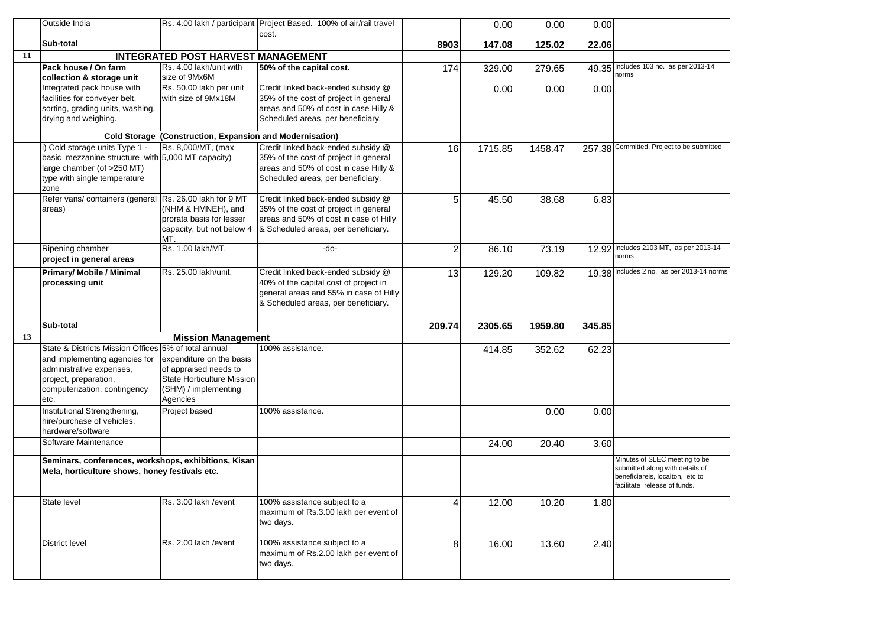|     | Outside India                                           |                                                           | Rs. 4.00 lakh / participant Project Based. 100% of air/rail travel         |                | 0.00    | 0.00    | 0.00   |                                                                    |
|-----|---------------------------------------------------------|-----------------------------------------------------------|----------------------------------------------------------------------------|----------------|---------|---------|--------|--------------------------------------------------------------------|
|     | Sub-total                                               |                                                           | cost.                                                                      |                |         |         |        |                                                                    |
| -11 |                                                         | <b>INTEGRATED POST HARVEST MANAGEMENT</b>                 |                                                                            | 8903           | 147.08  | 125.02  | 22.06  |                                                                    |
|     | Pack house / On farm                                    | Rs. 4.00 lakh/unit with                                   | 50% of the capital cost.                                                   | 174            | 329.00  | 279.65  |        | 49.35 Includes 103 no. as per 2013-14                              |
|     | collection & storage unit                               | size of 9Mx6M                                             |                                                                            |                |         |         |        | norms                                                              |
|     | Integrated pack house with                              | Rs. 50.00 lakh per unit                                   | Credit linked back-ended subsidy @                                         |                | 0.00    | 0.00    | 0.00   |                                                                    |
|     | facilities for conveyer belt,                           | with size of 9Mx18M                                       | 35% of the cost of project in general                                      |                |         |         |        |                                                                    |
|     | sorting, grading units, washing,                        |                                                           | areas and 50% of cost in case Hilly &                                      |                |         |         |        |                                                                    |
|     | drying and weighing.                                    |                                                           | Scheduled areas, per beneficiary.                                          |                |         |         |        |                                                                    |
|     |                                                         | Cold Storage (Construction, Expansion and Modernisation)  |                                                                            |                |         |         |        |                                                                    |
|     | i) Cold storage units Type 1 -                          | Rs. 8,000/MT, (max                                        | Credit linked back-ended subsidy @                                         | 16             | 1715.85 | 1458.47 | 257.38 | Committed. Project to be submitted                                 |
|     | basic mezzanine structure with 5,000 MT capacity)       |                                                           | 35% of the cost of project in general                                      |                |         |         |        |                                                                    |
|     | large chamber (of >250 MT)                              |                                                           | areas and 50% of cost in case Hilly &<br>Scheduled areas, per beneficiary. |                |         |         |        |                                                                    |
|     | type with single temperature<br>zone                    |                                                           |                                                                            |                |         |         |        |                                                                    |
|     | Refer vans/ containers (general Rs. 26.00 lakh for 9 MT |                                                           | Credit linked back-ended subsidy @                                         | 5              | 45.50   | 38.68   | 6.83   |                                                                    |
|     | areas)                                                  | (NHM & HMNEH), and                                        | 35% of the cost of project in general                                      |                |         |         |        |                                                                    |
|     |                                                         | prorata basis for lesser                                  | areas and 50% of cost in case of Hilly                                     |                |         |         |        |                                                                    |
|     |                                                         | capacity, but not below 4<br>MT.                          | & Scheduled areas, per beneficiary.                                        |                |         |         |        |                                                                    |
|     | Ripening chamber                                        | Rs. 1.00 lakh/MT.                                         | -do-                                                                       | $\overline{2}$ | 86.10   | 73.19   |        | 12.92 Includes 2103 MT, as per 2013-14                             |
|     | project in general areas                                |                                                           |                                                                            |                |         |         |        | norms                                                              |
|     | <b>Primary/ Mobile / Minimal</b>                        | Rs. 25.00 lakh/unit.                                      | Credit linked back-ended subsidy @                                         | 13             | 129.20  | 109.82  |        | 19.38 Includes 2 no. as per 2013-14 norms                          |
|     | processing unit                                         |                                                           | 40% of the capital cost of project in                                      |                |         |         |        |                                                                    |
|     |                                                         |                                                           | general areas and 55% in case of Hilly                                     |                |         |         |        |                                                                    |
|     |                                                         |                                                           | & Scheduled areas, per beneficiary.                                        |                |         |         |        |                                                                    |
|     | Sub-total                                               |                                                           |                                                                            | 209.74         | 2305.65 | 1959.80 | 345.85 |                                                                    |
| 13  |                                                         | <b>Mission Management</b>                                 |                                                                            |                |         |         |        |                                                                    |
|     | State & Districts Mission Offices 5% of total annual    |                                                           | 100% assistance.                                                           |                | 414.85  | 352.62  | 62.23  |                                                                    |
|     | and implementing agencies for                           | expenditure on the basis                                  |                                                                            |                |         |         |        |                                                                    |
|     | administrative expenses,                                | of appraised needs to                                     |                                                                            |                |         |         |        |                                                                    |
|     | project, preparation,<br>computerization, contingency   | <b>State Horticulture Mission</b><br>(SHM) / implementing |                                                                            |                |         |         |        |                                                                    |
|     | etc.                                                    | Agencies                                                  |                                                                            |                |         |         |        |                                                                    |
|     | Institutional Strengthening,                            | Project based                                             | 100% assistance.                                                           |                |         | 0.00    | 0.00   |                                                                    |
|     | hire/purchase of vehicles,                              |                                                           |                                                                            |                |         |         |        |                                                                    |
|     | hardware/software                                       |                                                           |                                                                            |                |         |         |        |                                                                    |
|     | Software Maintenance                                    |                                                           |                                                                            |                | 24.00   | 20.40   | 3.60   |                                                                    |
|     | Seminars, conferences, workshops, exhibitions, Kisan    |                                                           |                                                                            |                |         |         |        | Minutes of SLEC meeting to be                                      |
|     | Mela, horticulture shows, honey festivals etc.          |                                                           |                                                                            |                |         |         |        | submitted along with details of<br>beneficiareis, locaiton, etc to |
|     |                                                         |                                                           |                                                                            |                |         |         |        | facilitate release of funds.                                       |
|     | State level                                             | Rs. 3.00 lakh / event                                     | 100% assistance subject to a                                               | Δ              | 12.00   | 10.20   | 1.80   |                                                                    |
|     |                                                         |                                                           | maximum of Rs.3.00 lakh per event of                                       |                |         |         |        |                                                                    |
|     |                                                         |                                                           | two days.                                                                  |                |         |         |        |                                                                    |
|     |                                                         | Rs. 2.00 lakh / event                                     |                                                                            |                |         |         |        |                                                                    |
|     | District level                                          |                                                           | 100% assistance subject to a<br>maximum of Rs.2.00 lakh per event of       | 8              | 16.00   | 13.60   | 2.40   |                                                                    |
|     |                                                         |                                                           | two days.                                                                  |                |         |         |        |                                                                    |
|     |                                                         |                                                           |                                                                            |                |         |         |        |                                                                    |
|     |                                                         |                                                           |                                                                            |                |         |         |        |                                                                    |